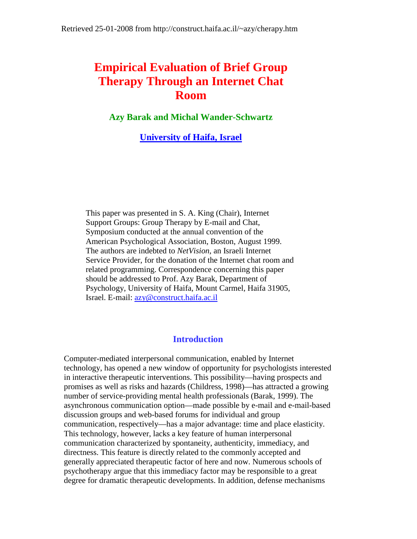# **Empirical Evaluation of Brief Group Therapy Through an Internet Chat Room**

**Azy Barak and Michal Wander-Schwartz**

**[University of Haifa, Israel](http://www.haifa.ac.il/)**

This paper was presented in S. A. King (Chair), Internet Support Groups: Group Therapy by E-mail and Chat, Symposium conducted at the annual convention of the American Psychological Association, Boston, August 1999. The authors are indebted to *NetVision*, an Israeli Internet Service Provider, for the donation of the Internet chat room and related programming. Correspondence concerning this paper should be addressed to Prof. Azy Barak, Department of Psychology, University of Haifa, Mount Carmel, Haifa 31905, Israel. E-mail: [azy@construct.haifa.ac.il](mailto:azy@construct.haifa.ac.il)

## **Introduction**

Computer-mediated interpersonal communication, enabled by Internet technology, has opened a new window of opportunity for psychologists interested in interactive therapeutic interventions. This possibility—having prospects and promises as well as risks and hazards (Childress, 1998)—has attracted a growing number of service-providing mental health professionals (Barak, 1999). The asynchronous communication option—made possible by e-mail and e-mail-based discussion groups and web-based forums for individual and group communication, respectively—has a major advantage: time and place elasticity. This technology, however, lacks a key feature of human interpersonal communication characterized by spontaneity, authenticity, immediacy, and directness. This feature is directly related to the commonly accepted and generally appreciated therapeutic factor of here and now. Numerous schools of psychotherapy argue that this immediacy factor may be responsible to a great degree for dramatic therapeutic developments. In addition, defense mechanisms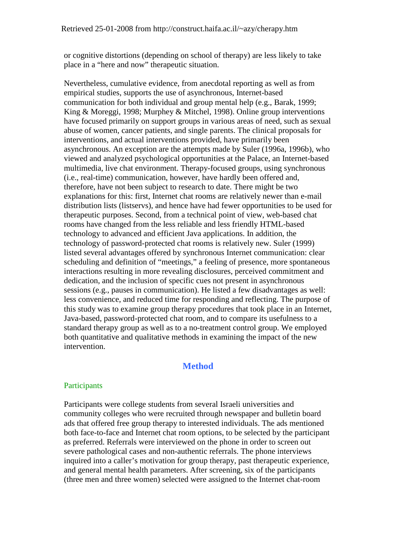or cognitive distortions (depending on school of therapy) are less likely to take place in a "here and now" therapeutic situation.

Nevertheless, cumulative evidence, from anecdotal reporting as well as from empirical studies, supports the use of asynchronous, Internet-based communication for both individual and group mental help (e.g., Barak, 1999; King & Moreggi, 1998; Murphey & Mitchel, 1998). Online group interventions have focused primarily on support groups in various areas of need, such as sexual abuse of women, cancer patients, and single parents. The clinical proposals for interventions, and actual interventions provided, have primarily been asynchronous. An exception are the attempts made by Suler (1996a, 1996b), who viewed and analyzed psychological opportunities at the Palace, an Internet-based multimedia, live chat environment. Therapy-focused groups, using synchronous (i.e., real-time) communication, however, have hardly been offered and, therefore, have not been subject to research to date. There might be two explanations for this: first, Internet chat rooms are relatively newer than e-mail distribution lists (listservs), and hence have had fewer opportunities to be used for therapeutic purposes. Second, from a technical point of view, web-based chat rooms have changed from the less reliable and less friendly HTML-based technology to advanced and efficient Java applications. In addition, the technology of password-protected chat rooms is relatively new. Suler (1999) listed several advantages offered by synchronous Internet communication: clear scheduling and definition of "meetings," a feeling of presence, more spontaneous interactions resulting in more revealing disclosures, perceived commitment and dedication, and the inclusion of specific cues not present in asynchronous sessions (e.g., pauses in communication). He listed a few disadvantages as well: less convenience, and reduced time for responding and reflecting. The purpose of this study was to examine group therapy procedures that took place in an Internet, Java-based, password-protected chat room, and to compare its usefulness to a standard therapy group as well as to a no-treatment control group. We employed both quantitative and qualitative methods in examining the impact of the new intervention.

## **Method**

#### **Participants**

Participants were college students from several Israeli universities and community colleges who were recruited through newspaper and bulletin board ads that offered free group therapy to interested individuals. The ads mentioned both face-to-face and Internet chat room options, to be selected by the participant as preferred. Referrals were interviewed on the phone in order to screen out severe pathological cases and non-authentic referrals. The phone interviews inquired into a caller's motivation for group therapy, past therapeutic experience, and general mental health parameters. After screening, six of the participants (three men and three women) selected were assigned to the Internet chat-room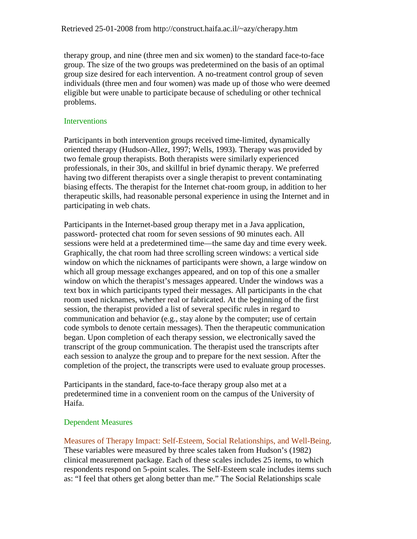therapy group, and nine (three men and six women) to the standard face-to-face group. The size of the two groups was predetermined on the basis of an optimal group size desired for each intervention. A no-treatment control group of seven individuals (three men and four women) was made up of those who were deemed eligible but were unable to participate because of scheduling or other technical problems.

#### **Interventions**

Participants in both intervention groups received time-limited, dynamically oriented therapy (Hudson-Allez, 1997; Wells, 1993). Therapy was provided by two female group therapists. Both therapists were similarly experienced professionals, in their 30s, and skillful in brief dynamic therapy. We preferred having two different therapists over a single therapist to prevent contaminating biasing effects. The therapist for the Internet chat-room group, in addition to her therapeutic skills, had reasonable personal experience in using the Internet and in participating in web chats.

Participants in the Internet-based group therapy met in a Java application, password- protected chat room for seven sessions of 90 minutes each. All sessions were held at a predetermined time—the same day and time every week. Graphically, the chat room had three scrolling screen windows: a vertical side window on which the nicknames of participants were shown, a large window on which all group message exchanges appeared, and on top of this one a smaller window on which the therapist's messages appeared. Under the windows was a text box in which participants typed their messages. All participants in the chat room used nicknames, whether real or fabricated. At the beginning of the first session, the therapist provided a list of several specific rules in regard to communication and behavior (e.g., stay alone by the computer; use of certain code symbols to denote certain messages). Then the therapeutic communication began. Upon completion of each therapy session, we electronically saved the transcript of the group communication. The therapist used the transcripts after each session to analyze the group and to prepare for the next session. After the completion of the project, the transcripts were used to evaluate group processes.

Participants in the standard, face-to-face therapy group also met at a predetermined time in a convenient room on the campus of the University of Haifa.

#### Dependent Measures

Measures of Therapy Impact: Self-Esteem, Social Relationships, and Well-Being. These variables were measured by three scales taken from Hudson's (1982) clinical measurement package. Each of these scales includes 25 items, to which respondents respond on 5-point scales. The Self-Esteem scale includes items such as: "I feel that others get along better than me." The Social Relationships scale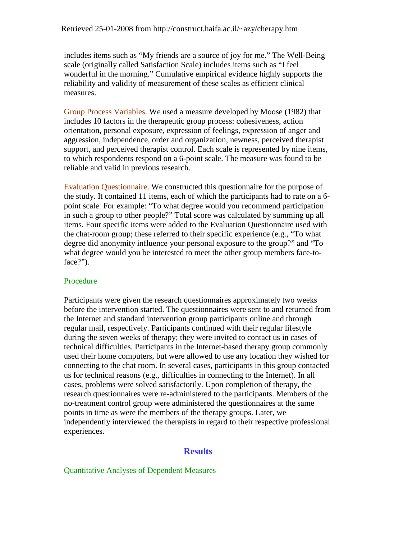includes items such as "My friends are a source of joy for me." The Well-Being scale (originally called Satisfaction Scale) includes items such as "I feel wonderful in the morning." Cumulative empirical evidence highly supports the reliability and validity of measurement of these scales as efficient clinical measures.

Group Process Variables. We used a measure developed by Moose (1982) that includes 10 factors in the therapeutic group process: cohesiveness, action orientation, personal exposure, expression of feelings, expression of anger and aggression, independence, order and organization, newness, perceived therapist support, and perceived therapist control. Each scale is represented by nine items, to which respondents respond on a 6-point scale. The measure was found to be reliable and valid in previous research.

Evaluation Questionnaire. We constructed this questionnaire for the purpose of the study. It contained 11 items, each of which the participants had to rate on a 6 point scale. For example: "To what degree would you recommend participation in such a group to other people?" Total score was calculated by summing up all items. Four specific items were added to the Evaluation Questionnaire used with the chat-room group; these referred to their specific experience (e.g., "To what degree did anonymity influence your personal exposure to the group?" and "To what degree would you be interested to meet the other group members face-toface?").

#### Procedure

Participants were given the research questionnaires approximately two weeks before the intervention started. The questionnaires were sent to and returned from the Internet and standard intervention group participants online and through regular mail, respectively. Participants continued with their regular lifestyle during the seven weeks of therapy; they were invited to contact us in cases of technical difficulties. Participants in the Internet-based therapy group commonly used their home computers, but were allowed to use any location they wished for connecting to the chat room. In several cases, participants in this group contacted us for technical reasons (e.g., difficulties in connecting to the Internet). In all cases, problems were solved satisfactorily. Upon completion of therapy, the research questionnaires were re-administered to the participants. Members of the no-treatment control group were administered the questionnaires at the same points in time as were the members of the therapy groups. Later, we independently interviewed the therapists in regard to their respective professional experiences.

#### **Results**

#### Quantitative Analyses of Dependent Measures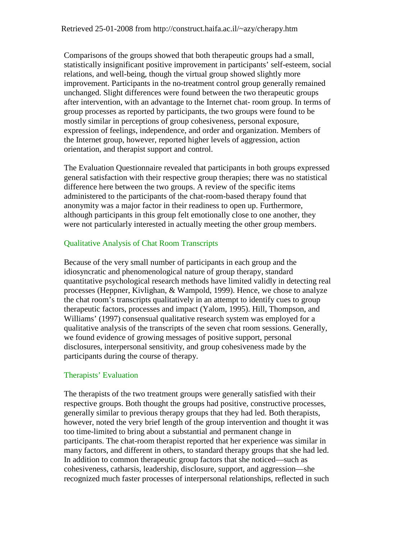Comparisons of the groups showed that both therapeutic groups had a small, statistically insignificant positive improvement in participants' self-esteem, social relations, and well-being, though the virtual group showed slightly more improvement. Participants in the no-treatment control group generally remained unchanged. Slight differences were found between the two therapeutic groups after intervention, with an advantage to the Internet chat- room group. In terms of group processes as reported by participants, the two groups were found to be mostly similar in perceptions of group cohesiveness, personal exposure, expression of feelings, independence, and order and organization. Members of the Internet group, however, reported higher levels of aggression, action orientation, and therapist support and control.

The Evaluation Questionnaire revealed that participants in both groups expressed general satisfaction with their respective group therapies; there was no statistical difference here between the two groups. A review of the specific items administered to the participants of the chat-room-based therapy found that anonymity was a major factor in their readiness to open up. Furthermore, although participants in this group felt emotionally close to one another, they were not particularly interested in actually meeting the other group members.

### Qualitative Analysis of Chat Room Transcripts

Because of the very small number of participants in each group and the idiosyncratic and phenomenological nature of group therapy, standard quantitative psychological research methods have limited validly in detecting real processes (Heppner, Kivlighan, & Wampold, 1999). Hence, we chose to analyze the chat room's transcripts qualitatively in an attempt to identify cues to group therapeutic factors, processes and impact (Yalom, 1995). Hill, Thompson, and Williams' (1997) consensual qualitative research system was employed for a qualitative analysis of the transcripts of the seven chat room sessions. Generally, we found evidence of growing messages of positive support, personal disclosures, interpersonal sensitivity, and group cohesiveness made by the participants during the course of therapy.

#### Therapists' Evaluation

The therapists of the two treatment groups were generally satisfied with their respective groups. Both thought the groups had positive, constructive processes, generally similar to previous therapy groups that they had led. Both therapists, however, noted the very brief length of the group intervention and thought it was too time-limited to bring about a substantial and permanent change in participants. The chat-room therapist reported that her experience was similar in many factors, and different in others, to standard therapy groups that she had led. In addition to common therapeutic group factors that she noticed—such as cohesiveness, catharsis, leadership, disclosure, support, and aggression—she recognized much faster processes of interpersonal relationships, reflected in such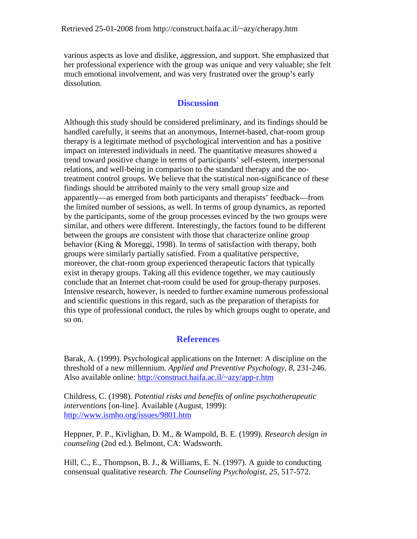various aspects as love and dislike, aggression, and support. She emphasized that her professional experience with the group was unique and very valuable; she felt much emotional involvement, and was very frustrated over the group's early dissolution.

## **Discussion**

Although this study should be considered preliminary, and its findings should be handled carefully, it seems that an anonymous, Internet-based, chat-room group therapy is a legitimate method of psychological intervention and has a positive impact on interested individuals in need. The quantitative measures showed a trend toward positive change in terms of participants' self-esteem, interpersonal relations, and well-being in comparison to the standard therapy and the notreatment control groups. We believe that the statistical non-significance of these findings should be attributed mainly to the very small group size and apparently—as emerged from both participants and therapists' feedback—from the limited number of sessions, as well. In terms of group dynamics, as reported by the participants, some of the group processes evinced by the two groups were similar, and others were different. Interestingly, the factors found to be different between the groups are consistent with those that characterize online group behavior (King & Moreggi, 1998). In terms of satisfaction with therapy, both groups were similarly partially satisfied. From a qualitative perspective, moreover, the chat-room group experienced therapeutic factors that typically exist in therapy groups. Taking all this evidence together, we may cautiously conclude that an Internet chat-room could be used for group-therapy purposes. Intensive research, however, is needed to further examine numerous professional and scientific questions in this regard, such as the preparation of therapists for this type of professional conduct, the rules by which groups ought to operate, and so on.

## **References**

Barak, A. (1999). Psychological applications on the Internet: A discipline on the threshold of a new millennium. *Applied and Preventive Psychology, 8*, 231-246. Also available online:<http://construct.haifa.ac.il/~azy/app-r.htm>

Childress, C. (1998). *Potential risks and benefits of online psychotherapeutic interventions* [on-line]. Available (August, 1999): <http://www.ismho.org/issues/9801.htm>

Heppner, P. P., Kivlighan, D. M., & Wampold, B. E. (1999). *Research design in counseling* (2nd ed.). Belmont, CA: Wadsworth.

Hill, C., E., Thompson, B. J., & Williams, E. N. (1997). A guide to conducting consensual qualitative research. *The Counseling Psychologist, 25*, 517-572.